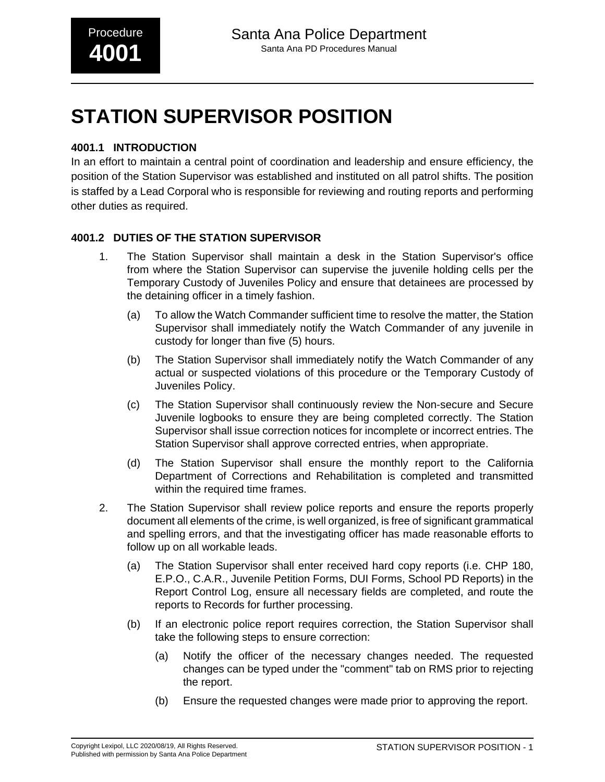# **STATION SUPERVISOR POSITION**

## **4001.1 INTRODUCTION**

In an effort to maintain a central point of coordination and leadership and ensure efficiency, the position of the Station Supervisor was established and instituted on all patrol shifts. The position is staffed by a Lead Corporal who is responsible for reviewing and routing reports and performing other duties as required.

# **4001.2 DUTIES OF THE STATION SUPERVISOR**

- 1. The Station Supervisor shall maintain a desk in the Station Supervisor's office from where the Station Supervisor can supervise the juvenile holding cells per the Temporary Custody of Juveniles Policy and ensure that detainees are processed by the detaining officer in a timely fashion.
	- (a) To allow the Watch Commander sufficient time to resolve the matter, the Station Supervisor shall immediately notify the Watch Commander of any juvenile in custody for longer than five (5) hours.
	- (b) The Station Supervisor shall immediately notify the Watch Commander of any actual or suspected violations of this procedure or the Temporary Custody of Juveniles Policy.
	- (c) The Station Supervisor shall continuously review the Non-secure and Secure Juvenile logbooks to ensure they are being completed correctly. The Station Supervisor shall issue correction notices for incomplete or incorrect entries. The Station Supervisor shall approve corrected entries, when appropriate.
	- (d) The Station Supervisor shall ensure the monthly report to the California Department of Corrections and Rehabilitation is completed and transmitted within the required time frames.
- 2. The Station Supervisor shall review police reports and ensure the reports properly document all elements of the crime, is well organized, is free of significant grammatical and spelling errors, and that the investigating officer has made reasonable efforts to follow up on all workable leads.
	- (a) The Station Supervisor shall enter received hard copy reports (i.e. CHP 180, E.P.O., C.A.R., Juvenile Petition Forms, DUI Forms, School PD Reports) in the Report Control Log, ensure all necessary fields are completed, and route the reports to Records for further processing.
	- (b) If an electronic police report requires correction, the Station Supervisor shall take the following steps to ensure correction:
		- (a) Notify the officer of the necessary changes needed. The requested changes can be typed under the "comment" tab on RMS prior to rejecting the report.
		- (b) Ensure the requested changes were made prior to approving the report.